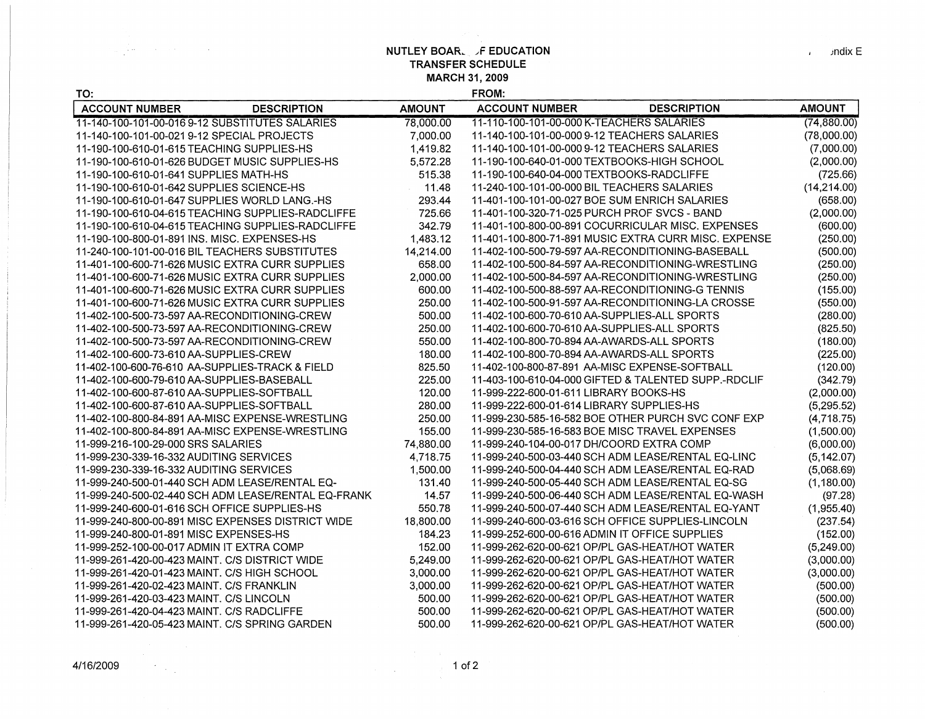**NUTLEY BOAR.** F EDUCATION **TRANSFER SCHEDULE MARCH 31, 2009** 

| TO:                                             |                                                     |               | FROM:                                             |                                                      |               |
|-------------------------------------------------|-----------------------------------------------------|---------------|---------------------------------------------------|------------------------------------------------------|---------------|
| <b>ACCOUNT NUMBER</b>                           | <b>DESCRIPTION</b>                                  | <b>AMOUNT</b> | <b>ACCOUNT NUMBER</b>                             | <b>DESCRIPTION</b>                                   | <b>AMOUNT</b> |
| 11-140-100-101-00-0169-12 SUBSTITUTES SALARIES  |                                                     | 78,000.00     | 11-110-100-101-00-000 K-TEACHERS SALARIES         |                                                      | (74, 880.00)  |
| 11-140-100-101-00-021 9-12 SPECIAL PROJECTS     |                                                     | 7,000.00      | 11-140-100-101-00-000 9-12 TEACHERS SALARIES      |                                                      | (78,000.00)   |
| 11-190-100-610-01-615 TEACHING SUPPLIES-HS      |                                                     | 1,419.82      | 11-140-100-101-00-000 9-12 TEACHERS SALARIES      |                                                      | (7,000.00)    |
| 11-190-100-610-01-626 BUDGET MUSIC SUPPLIES-HS  |                                                     | 5,572.28      | 11-190-100-640-01-000 TEXTBOOKS-HIGH SCHOOL       |                                                      | (2,000.00)    |
| 11-190-100-610-01-641 SUPPLIES MATH-HS          |                                                     | 515.38        | 11-190-100-640-04-000 TEXTBOOKS-RADCLIFFE         |                                                      | (725.66)      |
| 11-190-100-610-01-642 SUPPLIES SCIENCE-HS       |                                                     | 11.48         | 11-240-100-101-00-000 BIL TEACHERS SALARIES       |                                                      | (14, 214.00)  |
| 11-190-100-610-01-647 SUPPLIES WORLD LANG.-HS   |                                                     | 293.44        | 11-401-100-101-00-027 BOE SUM ENRICH SALARIES     |                                                      | (658.00)      |
|                                                 | 11-190-100-610-04-615 TEACHING SUPPLIES-RADCLIFFE   | 725.66        | 11-401-100-320-71-025 PURCH PROF SVCS - BAND      |                                                      | (2,000.00)    |
|                                                 | 11-190-100-610-04-615 TEACHING SUPPLIES-RADCLIFFE   | 342.79        |                                                   | 11-401-100-800-00-891 COCURRICULAR MISC. EXPENSES    | (600.00)      |
| 11-190-100-800-01-891 INS. MISC. EXPENSES-HS    |                                                     | 1,483.12      |                                                   | 11-401-100-800-71-891 MUSIC EXTRA CURR MISC. EXPENSE | (250.00)      |
| 11-240-100-101-00-016 BIL TEACHERS SUBSTITUTES  |                                                     | 14,214.00     | 11-402-100-500-79-597 AA-RECONDITIONING-BASEBALL  |                                                      | (500.00)      |
| 11-401-100-600-71-626 MUSIC EXTRA CURR SUPPLIES |                                                     | 658.00        |                                                   | 11-402-100-500-84-597 AA-RECONDITIONING-WRESTLING    | (250.00)      |
| 11-401-100-600-71-626 MUSIC EXTRA CURR SUPPLIES |                                                     | 2,000.00      |                                                   | 11-402-100-500-84-597 AA-RECONDITIONING-WRESTLING    | (250.00)      |
| 11-401-100-600-71-626 MUSIC EXTRA CURR SUPPLIES |                                                     | 600.00        | 11-402-100-500-88-597 AA-RECONDITIONING-G TENNIS  |                                                      | (155.00)      |
| 11-401-100-600-71-626 MUSIC EXTRA CURR SUPPLIES |                                                     | 250.00        |                                                   | 11-402-100-500-91-597 AA-RECONDITIONING-LA CROSSE    | (550.00)      |
| 11-402-100-500-73-597 AA-RECONDITIONING-CREW    |                                                     | 500.00        | 11-402-100-600-70-610 AA-SUPPLIES-ALL SPORTS      |                                                      | (280.00)      |
| 11-402-100-500-73-597 AA-RECONDITIONING-CREW    |                                                     | 250.00        | 11-402-100-600-70-610 AA-SUPPLIES-ALL SPORTS      |                                                      | (825.50)      |
| 11-402-100-500-73-597 AA-RECONDITIONING-CREW    |                                                     | 550.00        | 11-402-100-800-70-894 AA-AWARDS-ALL SPORTS        |                                                      | (180.00)      |
| 11-402-100-600-73-610 AA-SUPPLIES-CREW          |                                                     | 180.00        | 11-402-100-800-70-894 AA-AWARDS-ALL SPORTS        |                                                      | (225.00)      |
| 11-402-100-600-76-610 AA-SUPPLIES-TRACK & FIELD |                                                     | 825.50        | 11-402-100-800-87-891 AA-MISC EXPENSE-SOFTBALL    |                                                      | (120.00)      |
| 11-402-100-600-79-610 AA-SUPPLIES-BASEBALL      |                                                     | 225.00        |                                                   | 11-403-100-610-04-000 GIFTED & TALENTED SUPP.-RDCLIF | (342.79)      |
| 11-402-100-600-87-610 AA-SUPPLIES-SOFTBALL      |                                                     | 120.00        | 11-999-222-600-01-611 LIBRARY BOOKS-HS            |                                                      | (2,000.00)    |
| 11-402-100-600-87-610 AA-SUPPLIES-SOFTBALL      |                                                     | 280.00        | 11-999-222-600-01-614 LIBRARY SUPPLIES-HS         |                                                      | (5, 295.52)   |
| 11-402-100-800-84-891 AA-MISC EXPENSE-WRESTLING |                                                     | 250.00        |                                                   | 11-999-230-585-16-582 BOE OTHER PURCH SVC CONF EXP   | (4,718.75)    |
| 11-402-100-800-84-891 AA-MISC EXPENSE-WRESTLING |                                                     | 155.00        | 11-999-230-585-16-583 BOE MISC TRAVEL EXPENSES    |                                                      | (1,500.00)    |
| 11-999-216-100-29-000 SRS SALARIES              |                                                     | 74,880.00     | 11-999-240-104-00-017 DH/COORD EXTRA COMP         |                                                      | (6,000.00)    |
| 11-999-230-339-16-332 AUDITING SERVICES         |                                                     | 4,718.75      |                                                   | 11-999-240-500-03-440 SCH ADM LEASE/RENTAL EQ-LINC   | (5, 142.07)   |
| 11-999-230-339-16-332 AUDITING SERVICES         |                                                     | 1,500.00      |                                                   | 11-999-240-500-04-440 SCH ADM LEASE/RENTAL EQ-RAD    | (5,068.69)    |
| 11-999-240-500-01-440 SCH ADM LEASE/RENTAL EQ-  |                                                     | 131.40        | 11-999-240-500-05-440 SCH ADM LEASE/RENTAL EQ-SG  |                                                      | (1, 180.00)   |
|                                                 | 11-999-240-500-02-440 SCH ADM LEASE/RENTAL EQ-FRANK | 14.57         |                                                   | 11-999-240-500-06-440 SCH ADM LEASE/RENTAL EQ-WASH   | (97.28)       |
| 11-999-240-600-01-616 SCH OFFICE SUPPLIES-HS    |                                                     | 550.78        |                                                   | 11-999-240-500-07-440 SCH ADM LEASE/RENTAL EQ-YANT   | (1,955.40)    |
|                                                 | 11-999-240-800-00-891 MISC EXPENSES DISTRICT WIDE   | 18,800.00     | 11-999-240-600-03-616 SCH OFFICE SUPPLIES-LINCOLN |                                                      | (237.54)      |
| 11-999-240-800-01-891 MISC EXPENSES-HS          |                                                     | 184.23        | 11-999-252-600-00-616 ADMIN IT OFFICE SUPPLIES    |                                                      | (152.00)      |
| 11-999-252-100-00-017 ADMIN IT EXTRA COMP       |                                                     | 152.00        | 11-999-262-620-00-621 OP/PL GAS-HEAT/HOT WATER    |                                                      | (5,249.00)    |
| 11-999-261-420-00-423 MAINT. C/S DISTRICT WIDE  |                                                     | 5,249.00      | 11-999-262-620-00-621 OP/PL GAS-HEAT/HOT WATER    |                                                      | (3,000.00)    |
| 11-999-261-420-01-423 MAINT. C/S HIGH SCHOOL    |                                                     | 3,000.00      | 11-999-262-620-00-621 OP/PL GAS-HEAT/HOT WATER    |                                                      | (3,000.00)    |
| 11-999-261-420-02-423 MAINT, C/S FRANKLIN       |                                                     | 3,000.00      | 11-999-262-620-00-621 OP/PL GAS-HEAT/HOT WATER    |                                                      | (500.00)      |
| 11-999-261-420-03-423 MAINT. C/S LINCOLN        |                                                     | 500.00        | 11-999-262-620-00-621 OP/PL GAS-HEAT/HOT WATER    |                                                      | (500.00)      |
| 11-999-261-420-04-423 MAINT. C/S RADCLIFFE      |                                                     | 500.00        | 11-999-262-620-00-621 OP/PL GAS-HEAT/HOT WATER    |                                                      | (500.00)      |
| 11-999-261-420-05-423 MAINT. C/S SPRING GARDEN  |                                                     | 500.00        | 11-999-262-620-00-621 OP/PL GAS-HEAT/HOT WATER    |                                                      | (500.00)      |

 $\sim 2\, \mu_{\rm B}$ 

 $\label{eq:2.1} \frac{1}{2\pi}\left(\frac{1}{2}\left(\frac{1}{2}\right)^2\right) \left(\frac{1}{2}\left(\frac{1}{2}\right)^2\right) \left(\frac{1}{2}\left(\frac{1}{2}\right)^2\right) \left(\frac{1}{2}\left(\frac{1}{2}\right)^2\right) \left(\frac{1}{2}\left(\frac{1}{2}\right)^2\right) \left(\frac{1}{2}\left(\frac{1}{2}\right)^2\right) \left(\frac{1}{2}\left(\frac{1}{2}\right)^2\right) \left(\frac{1}{2}\left(\frac{1}{2}\right)^2\right) \left(\frac{1}{2}\left(\frac{1}{2}\right)^$ 

 $\label{eq:2.1} \mathcal{L}^{\text{max}}_{\text{max}} = \mathcal{L}^{\text{max}}_{\text{max}} + \mathcal{L}^{\text{max}}_{\text{max}} + \mathcal{L}^{\text{max}}_{\text{max}}$ 

 $\sqrt{m}$  and ix E